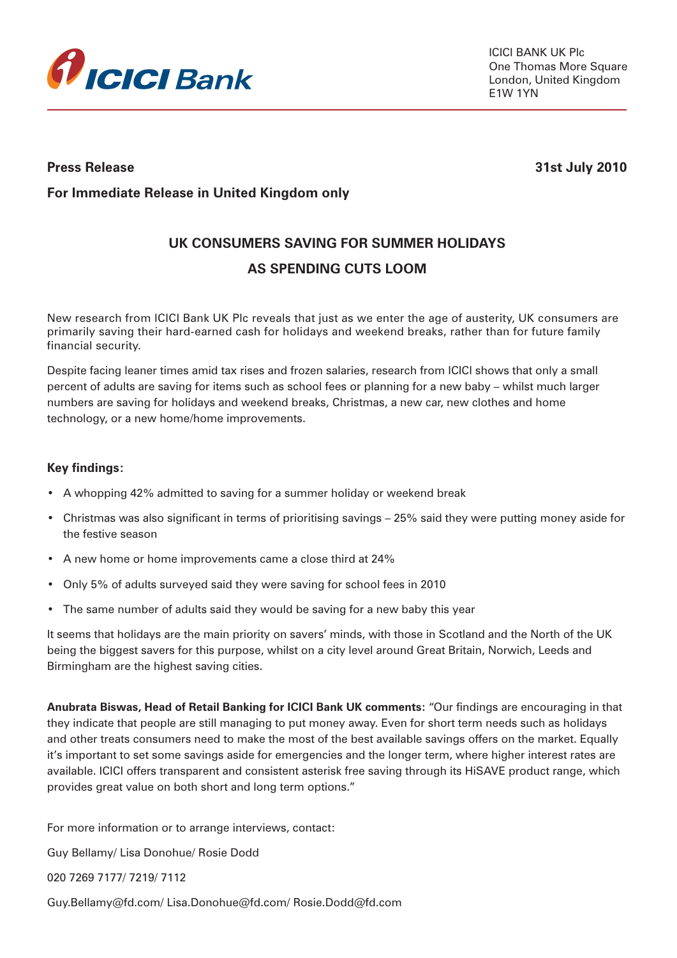

**Press Release 31st July 2010** 

# **For Immediate Release in United Kingdom only**

# **UK CONSUMERS SAVING FOR SUMMER HOLIDAYS AS SPENDING CUTS LOOM**

New research from ICICI Bank UK Plc reveals that just as we enter the age of austerity, UK consumers are primarily saving their hard-earned cash for holidays and weekend breaks, rather than for future family financial security.

Despite facing leaner times amid tax rises and frozen salaries, research from ICICI shows that only a small percent of adults are saving for items such as school fees or planning for a new baby – whilst much larger numbers are saving for holidays and weekend breaks, Christmas, a new car, new clothes and home technology, or a new home/home improvements.

## **Key findings:**

- A whopping 42% admitted to saving for a summer holiday or weekend break
- Christmas was also significant in terms of prioritising savings 25% said they were putting money aside for the festive season
- A new home or home improvements came a close third at 24%
- Only 5% of adults surveyed said they were saving for school fees in 2010
- The same number of adults said they would be saving for a new baby this year

It seems that holidays are the main priority on savers' minds, with those in Scotland and the North of the UK being the biggest savers for this purpose, whilst on a city level around Great Britain, Norwich, Leeds and Birmingham are the highest saving cities.

**Anubrata Biswas, Head of Retail Banking for ICICI Bank UK comments:** "Our findings are encouraging in that they indicate that people are still managing to put money away. Even for short term needs such as holidays and other treats consumers need to make the most of the best available savings offers on the market. Equally it's important to set some savings aside for emergencies and the longer term, where higher interest rates are available. ICICI offers transparent and consistent asterisk free saving through its HiSAVE product range, which provides great value on both short and long term options."

For more information or to arrange interviews, contact:

Guy Bellamy/ Lisa Donohue/ Rosie Dodd

020 7269 7177/ 7219/ 7112

Guy.Bellamy@fd.com/ Lisa.Donohue@fd.com/ Rosie.Dodd@fd.com